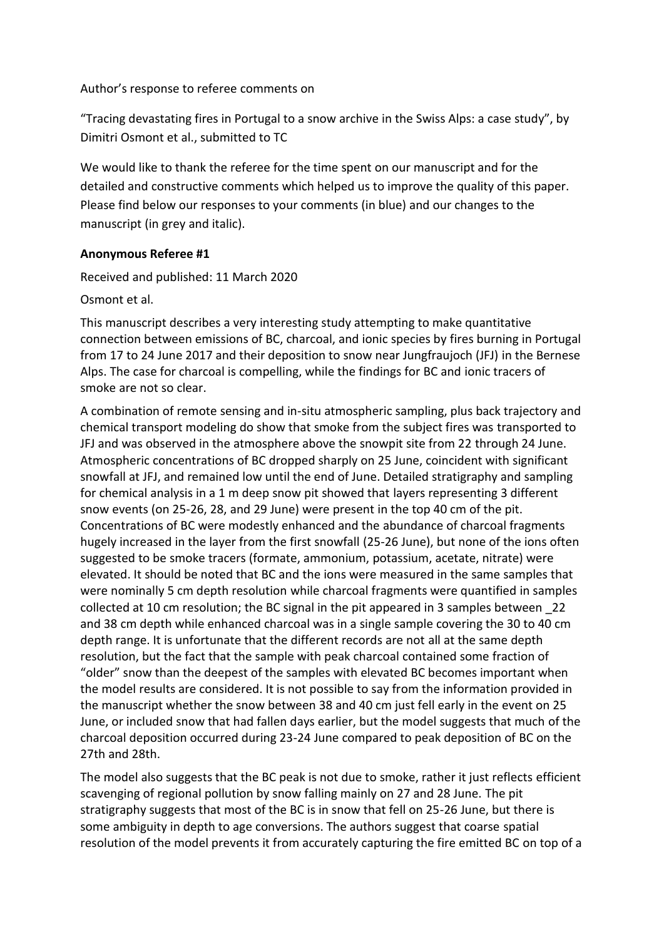Author's response to referee comments on

"Tracing devastating fires in Portugal to a snow archive in the Swiss Alps: a case study", by Dimitri Osmont et al., submitted to TC

We would like to thank the referee for the time spent on our manuscript and for the detailed and constructive comments which helped us to improve the quality of this paper. Please find below our responses to your comments (in blue) and our changes to the manuscript (in grey and italic).

# **Anonymous Referee #1**

Received and published: 11 March 2020

Osmont et al.

This manuscript describes a very interesting study attempting to make quantitative connection between emissions of BC, charcoal, and ionic species by fires burning in Portugal from 17 to 24 June 2017 and their deposition to snow near Jungfraujoch (JFJ) in the Bernese Alps. The case for charcoal is compelling, while the findings for BC and ionic tracers of smoke are not so clear.

A combination of remote sensing and in-situ atmospheric sampling, plus back trajectory and chemical transport modeling do show that smoke from the subject fires was transported to JFJ and was observed in the atmosphere above the snowpit site from 22 through 24 June. Atmospheric concentrations of BC dropped sharply on 25 June, coincident with significant snowfall at JFJ, and remained low until the end of June. Detailed stratigraphy and sampling for chemical analysis in a 1 m deep snow pit showed that layers representing 3 different snow events (on 25-26, 28, and 29 June) were present in the top 40 cm of the pit. Concentrations of BC were modestly enhanced and the abundance of charcoal fragments hugely increased in the layer from the first snowfall (25-26 June), but none of the ions often suggested to be smoke tracers (formate, ammonium, potassium, acetate, nitrate) were elevated. It should be noted that BC and the ions were measured in the same samples that were nominally 5 cm depth resolution while charcoal fragments were quantified in samples collected at 10 cm resolution; the BC signal in the pit appeared in 3 samples between \_22 and 38 cm depth while enhanced charcoal was in a single sample covering the 30 to 40 cm depth range. It is unfortunate that the different records are not all at the same depth resolution, but the fact that the sample with peak charcoal contained some fraction of "older" snow than the deepest of the samples with elevated BC becomes important when the model results are considered. It is not possible to say from the information provided in the manuscript whether the snow between 38 and 40 cm just fell early in the event on 25 June, or included snow that had fallen days earlier, but the model suggests that much of the charcoal deposition occurred during 23-24 June compared to peak deposition of BC on the 27th and 28th.

The model also suggests that the BC peak is not due to smoke, rather it just reflects efficient scavenging of regional pollution by snow falling mainly on 27 and 28 June. The pit stratigraphy suggests that most of the BC is in snow that fell on 25-26 June, but there is some ambiguity in depth to age conversions. The authors suggest that coarse spatial resolution of the model prevents it from accurately capturing the fire emitted BC on top of a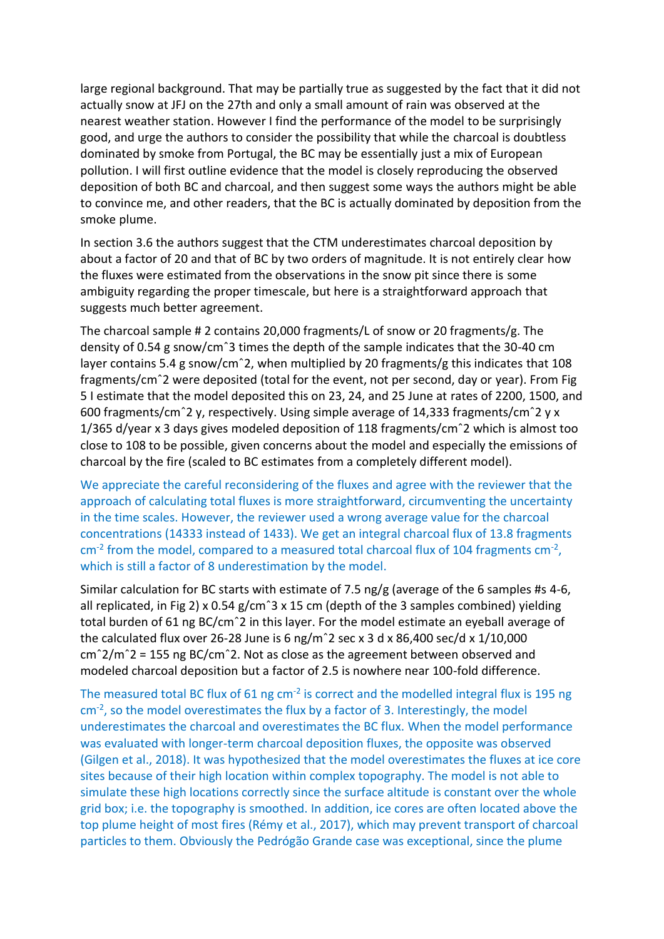large regional background. That may be partially true as suggested by the fact that it did not actually snow at JFJ on the 27th and only a small amount of rain was observed at the nearest weather station. However I find the performance of the model to be surprisingly good, and urge the authors to consider the possibility that while the charcoal is doubtless dominated by smoke from Portugal, the BC may be essentially just a mix of European pollution. I will first outline evidence that the model is closely reproducing the observed deposition of both BC and charcoal, and then suggest some ways the authors might be able to convince me, and other readers, that the BC is actually dominated by deposition from the smoke plume.

In section 3.6 the authors suggest that the CTM underestimates charcoal deposition by about a factor of 20 and that of BC by two orders of magnitude. It is not entirely clear how the fluxes were estimated from the observations in the snow pit since there is some ambiguity regarding the proper timescale, but here is a straightforward approach that suggests much better agreement.

The charcoal sample # 2 contains 20,000 fragments/L of snow or 20 fragments/g. The density of 0.54 g snow/cmˆ3 times the depth of the sample indicates that the 30-40 cm layer contains 5.4 g snow/cmˆ2, when multiplied by 20 fragments/g this indicates that 108 fragments/cmˆ2 were deposited (total for the event, not per second, day or year). From Fig 5 I estimate that the model deposited this on 23, 24, and 25 June at rates of 2200, 1500, and 600 fragments/cmˆ2 y, respectively. Using simple average of 14,333 fragments/cmˆ2 y x 1/365 d/year x 3 days gives modeled deposition of 118 fragments/cmˆ2 which is almost too close to 108 to be possible, given concerns about the model and especially the emissions of charcoal by the fire (scaled to BC estimates from a completely different model).

We appreciate the careful reconsidering of the fluxes and agree with the reviewer that the approach of calculating total fluxes is more straightforward, circumventing the uncertainty in the time scales. However, the reviewer used a wrong average value for the charcoal concentrations (14333 instead of 1433). We get an integral charcoal flux of 13.8 fragments  $cm<sup>-2</sup>$  from the model, compared to a measured total charcoal flux of 104 fragments cm<sup>-2</sup>, which is still a factor of 8 underestimation by the model.

Similar calculation for BC starts with estimate of 7.5 ng/g (average of the 6 samples #s 4-6, all replicated, in Fig 2) x 0.54 g/cm<sup> $\hat{a}$ </sup> x 15 cm (depth of the 3 samples combined) yielding total burden of 61 ng BC/cmˆ2 in this layer. For the model estimate an eyeball average of the calculated flux over 26-28 June is 6 ng/m<sup>2</sup> sec x 3 d x 86,400 sec/d x 1/10,000 cmˆ2/mˆ2 = 155 ng BC/cmˆ2. Not as close as the agreement between observed and modeled charcoal deposition but a factor of 2.5 is nowhere near 100-fold difference.

The measured total BC flux of 61 ng  $cm^{-2}$  is correct and the modelled integral flux is 195 ng  $cm<sup>-2</sup>$ , so the model overestimates the flux by a factor of 3. Interestingly, the model underestimates the charcoal and overestimates the BC flux. When the model performance was evaluated with longer-term charcoal deposition fluxes, the opposite was observed (Gilgen et al., 2018). It was hypothesized that the model overestimates the fluxes at ice core sites because of their high location within complex topography. The model is not able to simulate these high locations correctly since the surface altitude is constant over the whole grid box; i.e. the topography is smoothed. In addition, ice cores are often located above the top plume height of most fires (Rémy et al., 2017), which may prevent transport of charcoal particles to them. Obviously the Pedrógão Grande case was exceptional, since the plume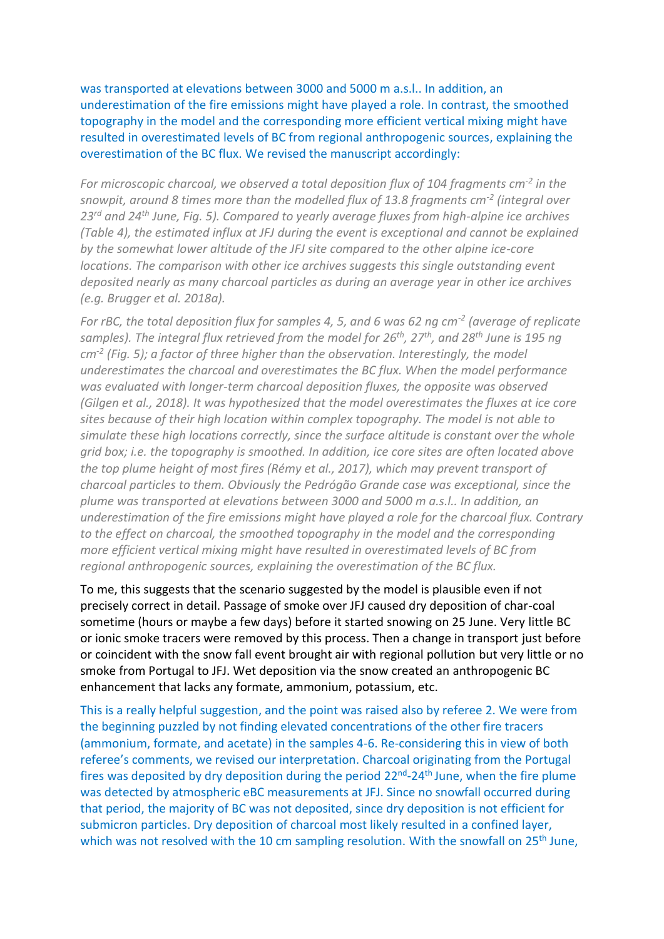was transported at elevations between 3000 and 5000 m a.s.l.. In addition, an underestimation of the fire emissions might have played a role. In contrast, the smoothed topography in the model and the corresponding more efficient vertical mixing might have resulted in overestimated levels of BC from regional anthropogenic sources, explaining the overestimation of the BC flux. We revised the manuscript accordingly:

For microscopic charcoal, we observed a total deposition flux of 104 fragments cm<sup>-2</sup> in the *snowpit, around 8 times more than the modelled flux of 13.8 fragments cm-2 (integral over 23rd and 24th June, Fig. 5). Compared to yearly average fluxes from high-alpine ice archives (Table 4), the estimated influx at JFJ during the event is exceptional and cannot be explained by the somewhat lower altitude of the JFJ site compared to the other alpine ice-core locations. The comparison with other ice archives suggests this single outstanding event deposited nearly as many charcoal particles as during an average year in other ice archives (e.g. Brugger et al. 2018a).*

For rBC, the total deposition flux for samples 4, 5, and 6 was 62 ng cm<sup>-2</sup> (average of replicate *samples). The integral flux retrieved from the model for 26th, 27th, and 28th June is 195 ng cm-2 (Fig. 5); a factor of three higher than the observation. Interestingly, the model underestimates the charcoal and overestimates the BC flux. When the model performance was evaluated with longer-term charcoal deposition fluxes, the opposite was observed (Gilgen et al., 2018). It was hypothesized that the model overestimates the fluxes at ice core sites because of their high location within complex topography. The model is not able to simulate these high locations correctly, since the surface altitude is constant over the whole grid box; i.e. the topography is smoothed. In addition, ice core sites are often located above the top plume height of most fires (Rémy et al., 2017), which may prevent transport of charcoal particles to them. Obviously the Pedrógão Grande case was exceptional, since the plume was transported at elevations between 3000 and 5000 m a.s.l.. In addition, an underestimation of the fire emissions might have played a role for the charcoal flux. Contrary to the effect on charcoal, the smoothed topography in the model and the corresponding more efficient vertical mixing might have resulted in overestimated levels of BC from regional anthropogenic sources, explaining the overestimation of the BC flux.* 

To me, this suggests that the scenario suggested by the model is plausible even if not precisely correct in detail. Passage of smoke over JFJ caused dry deposition of char-coal sometime (hours or maybe a few days) before it started snowing on 25 June. Very little BC or ionic smoke tracers were removed by this process. Then a change in transport just before or coincident with the snow fall event brought air with regional pollution but very little or no smoke from Portugal to JFJ. Wet deposition via the snow created an anthropogenic BC enhancement that lacks any formate, ammonium, potassium, etc.

This is a really helpful suggestion, and the point was raised also by referee 2. We were from the beginning puzzled by not finding elevated concentrations of the other fire tracers (ammonium, formate, and acetate) in the samples 4-6. Re-considering this in view of both referee's comments, we revised our interpretation. Charcoal originating from the Portugal fires was deposited by dry deposition during the period 22<sup>nd</sup>-24<sup>th</sup> June, when the fire plume was detected by atmospheric eBC measurements at JFJ. Since no snowfall occurred during that period, the majority of BC was not deposited, since dry deposition is not efficient for submicron particles. Dry deposition of charcoal most likely resulted in a confined layer, which was not resolved with the 10 cm sampling resolution. With the snowfall on 25<sup>th</sup> June,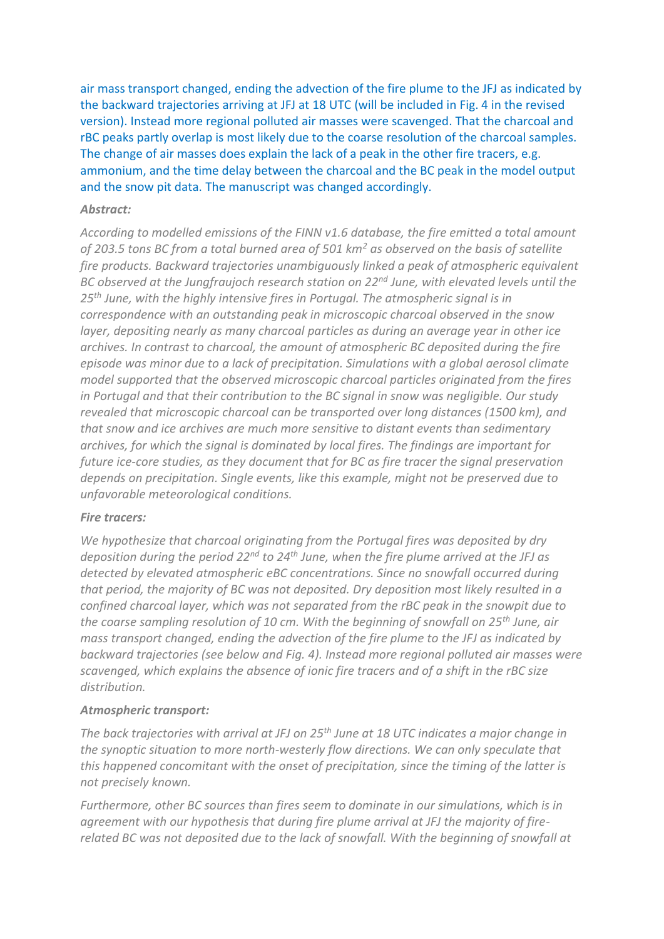air mass transport changed, ending the advection of the fire plume to the JFJ as indicated by the backward trajectories arriving at JFJ at 18 UTC (will be included in Fig. 4 in the revised version). Instead more regional polluted air masses were scavenged. That the charcoal and rBC peaks partly overlap is most likely due to the coarse resolution of the charcoal samples. The change of air masses does explain the lack of a peak in the other fire tracers, e.g. ammonium, and the time delay between the charcoal and the BC peak in the model output and the snow pit data. The manuscript was changed accordingly.

# *Abstract:*

*According to modelled emissions of the FINN v1.6 database, the fire emitted a total amount of 203.5 tons BC from a total burned area of 501 km<sup>2</sup> as observed on the basis of satellite fire products. Backward trajectories unambiguously linked a peak of atmospheric equivalent BC observed at the Jungfraujoch research station on 22nd June, with elevated levels until the 25th June, with the highly intensive fires in Portugal. The atmospheric signal is in correspondence with an outstanding peak in microscopic charcoal observed in the snow layer, depositing nearly as many charcoal particles as during an average year in other ice archives. In contrast to charcoal, the amount of atmospheric BC deposited during the fire episode was minor due to a lack of precipitation. Simulations with a global aerosol climate model supported that the observed microscopic charcoal particles originated from the fires in Portugal and that their contribution to the BC signal in snow was negligible. Our study revealed that microscopic charcoal can be transported over long distances (1500 km), and that snow and ice archives are much more sensitive to distant events than sedimentary archives, for which the signal is dominated by local fires. The findings are important for future ice-core studies, as they document that for BC as fire tracer the signal preservation depends on precipitation. Single events, like this example, might not be preserved due to unfavorable meteorological conditions.*

# *Fire tracers:*

*We hypothesize that charcoal originating from the Portugal fires was deposited by dry deposition during the period 22nd to 24th June, when the fire plume arrived at the JFJ as detected by elevated atmospheric eBC concentrations. Since no snowfall occurred during that period, the majority of BC was not deposited. Dry deposition most likely resulted in a confined charcoal layer, which was not separated from the rBC peak in the snowpit due to the coarse sampling resolution of 10 cm. With the beginning of snowfall on 25th June, air mass transport changed, ending the advection of the fire plume to the JFJ as indicated by backward trajectories (see below and Fig. 4). Instead more regional polluted air masses were scavenged, which explains the absence of ionic fire tracers and of a shift in the rBC size distribution.*

# *Atmospheric transport:*

*The back trajectories with arrival at JFJ on 25th June at 18 UTC indicates a major change in the synoptic situation to more north-westerly flow directions. We can only speculate that this happened concomitant with the onset of precipitation, since the timing of the latter is not precisely known.*

*Furthermore, other BC sources than fires seem to dominate in our simulations, which is in agreement with our hypothesis that during fire plume arrival at JFJ the majority of firerelated BC was not deposited due to the lack of snowfall. With the beginning of snowfall at*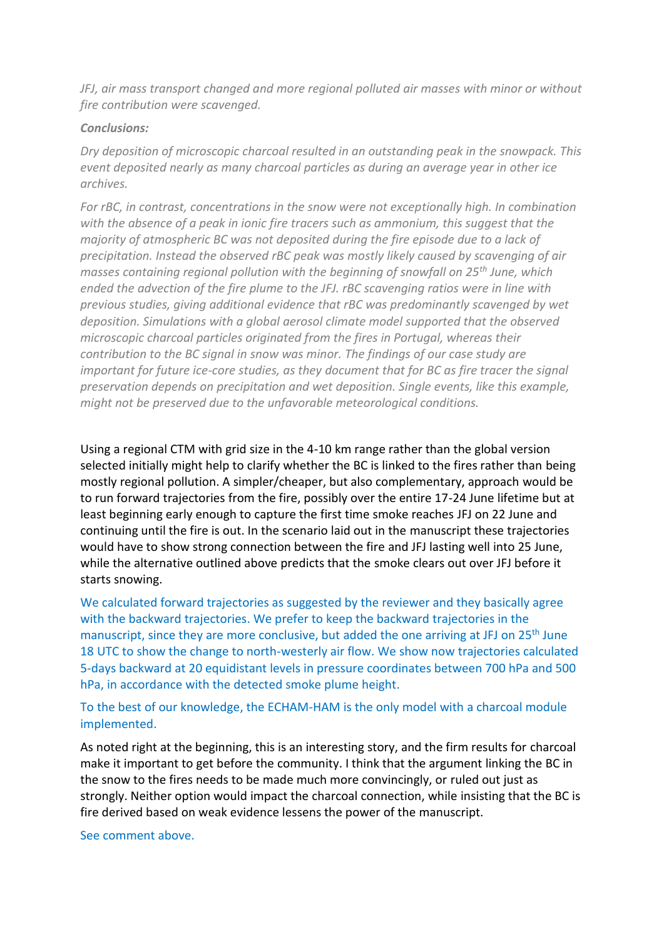*JFJ, air mass transport changed and more regional polluted air masses with minor or without fire contribution were scavenged.*

### *Conclusions:*

*Dry deposition of microscopic charcoal resulted in an outstanding peak in the snowpack. This event deposited nearly as many charcoal particles as during an average year in other ice archives.* 

*For rBC, in contrast, concentrations in the snow were not exceptionally high. In combination with the absence of a peak in ionic fire tracers such as ammonium, this suggest that the majority of atmospheric BC was not deposited during the fire episode due to a lack of precipitation. Instead the observed rBC peak was mostly likely caused by scavenging of air masses containing regional pollution with the beginning of snowfall on 25th June, which ended the advection of the fire plume to the JFJ. rBC scavenging ratios were in line with previous studies, giving additional evidence that rBC was predominantly scavenged by wet deposition. Simulations with a global aerosol climate model supported that the observed microscopic charcoal particles originated from the fires in Portugal, whereas their contribution to the BC signal in snow was minor. The findings of our case study are important for future ice-core studies, as they document that for BC as fire tracer the signal preservation depends on precipitation and wet deposition. Single events, like this example, might not be preserved due to the unfavorable meteorological conditions.*

Using a regional CTM with grid size in the 4-10 km range rather than the global version selected initially might help to clarify whether the BC is linked to the fires rather than being mostly regional pollution. A simpler/cheaper, but also complementary, approach would be to run forward trajectories from the fire, possibly over the entire 17-24 June lifetime but at least beginning early enough to capture the first time smoke reaches JFJ on 22 June and continuing until the fire is out. In the scenario laid out in the manuscript these trajectories would have to show strong connection between the fire and JFJ lasting well into 25 June, while the alternative outlined above predicts that the smoke clears out over JFJ before it starts snowing.

We calculated forward trajectories as suggested by the reviewer and they basically agree with the backward trajectories. We prefer to keep the backward trajectories in the manuscript, since they are more conclusive, but added the one arriving at JFJ on 25<sup>th</sup> June 18 UTC to show the change to north-westerly air flow. We show now trajectories calculated 5-days backward at 20 equidistant levels in pressure coordinates between 700 hPa and 500 hPa, in accordance with the detected smoke plume height.

# To the best of our knowledge, the ECHAM-HAM is the only model with a charcoal module implemented.

As noted right at the beginning, this is an interesting story, and the firm results for charcoal make it important to get before the community. I think that the argument linking the BC in the snow to the fires needs to be made much more convincingly, or ruled out just as strongly. Neither option would impact the charcoal connection, while insisting that the BC is fire derived based on weak evidence lessens the power of the manuscript.

See comment above.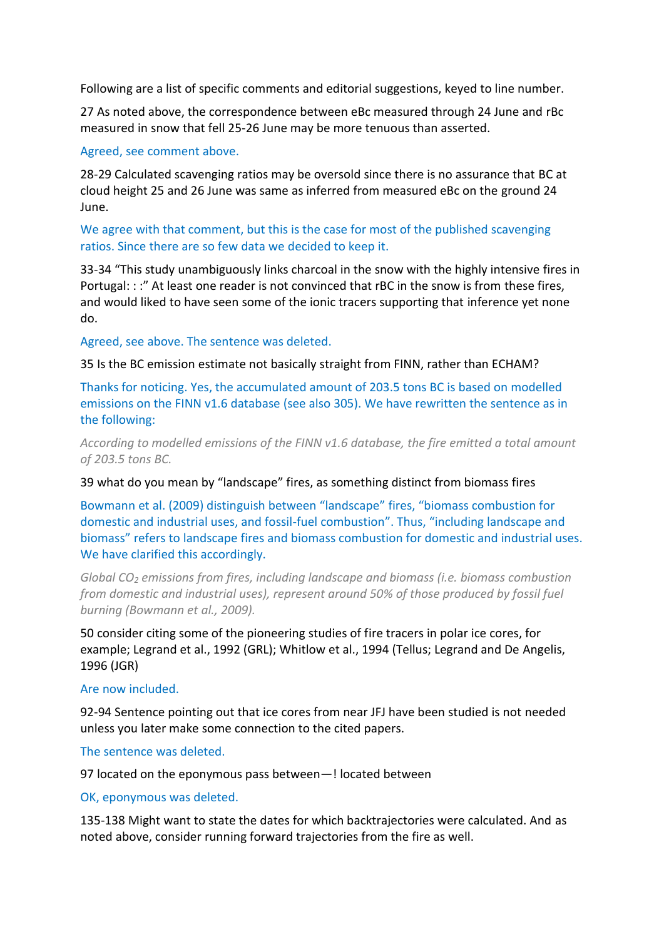Following are a list of specific comments and editorial suggestions, keyed to line number.

27 As noted above, the correspondence between eBc measured through 24 June and rBc measured in snow that fell 25-26 June may be more tenuous than asserted.

### Agreed, see comment above.

28-29 Calculated scavenging ratios may be oversold since there is no assurance that BC at cloud height 25 and 26 June was same as inferred from measured eBc on the ground 24 June.

### We agree with that comment, but this is the case for most of the published scavenging ratios. Since there are so few data we decided to keep it.

33-34 "This study unambiguously links charcoal in the snow with the highly intensive fires in Portugal: : :" At least one reader is not convinced that rBC in the snow is from these fires, and would liked to have seen some of the ionic tracers supporting that inference yet none do.

Agreed, see above. The sentence was deleted.

35 Is the BC emission estimate not basically straight from FINN, rather than ECHAM?

Thanks for noticing. Yes, the accumulated amount of 203.5 tons BC is based on modelled emissions on the FINN v1.6 database (see also 305). We have rewritten the sentence as in the following:

*According to modelled emissions of the FINN v1.6 database, the fire emitted a total amount of 203.5 tons BC.*

#### 39 what do you mean by "landscape" fires, as something distinct from biomass fires

Bowmann et al. (2009) distinguish between "landscape" fires, "biomass combustion for domestic and industrial uses, and fossil-fuel combustion". Thus, "including landscape and biomass" refers to landscape fires and biomass combustion for domestic and industrial uses. We have clarified this accordingly.

*Global CO<sup>2</sup> emissions from fires, including landscape and biomass (i.e. biomass combustion from domestic and industrial uses), represent around 50% of those produced by fossil fuel burning (Bowmann et al., 2009).*

50 consider citing some of the pioneering studies of fire tracers in polar ice cores, for example; Legrand et al., 1992 (GRL); Whitlow et al., 1994 (Tellus; Legrand and De Angelis, 1996 (JGR)

#### Are now included.

92-94 Sentence pointing out that ice cores from near JFJ have been studied is not needed unless you later make some connection to the cited papers.

#### The sentence was deleted.

97 located on the eponymous pass between-! located between

#### OK, eponymous was deleted.

135-138 Might want to state the dates for which backtrajectories were calculated. And as noted above, consider running forward trajectories from the fire as well.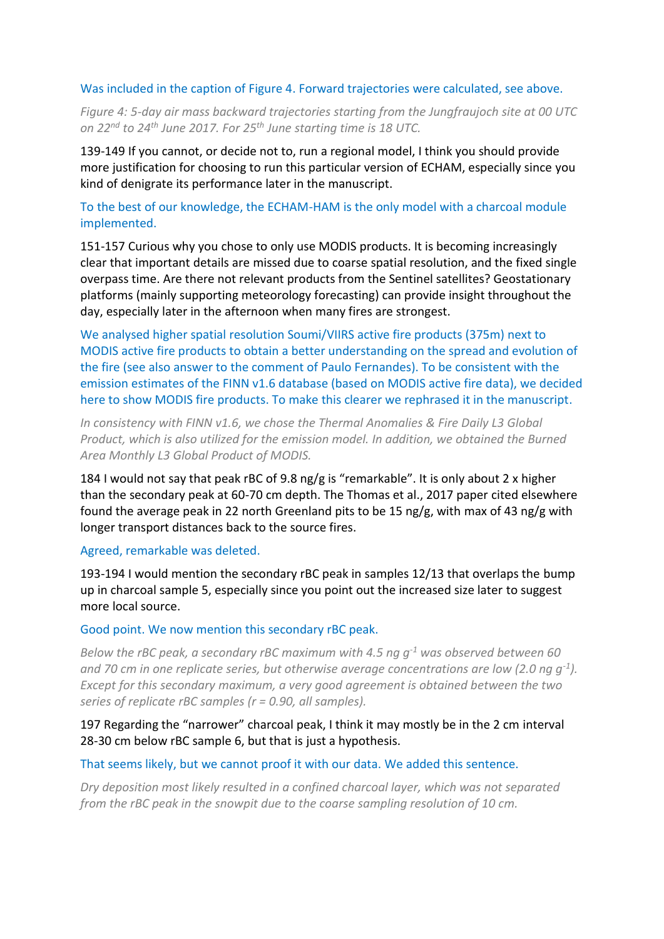### Was included in the caption of Figure 4. Forward trajectories were calculated, see above.

*Figure 4: 5-day air mass backward trajectories starting from the Jungfraujoch site at 00 UTC on 22nd to 24th June 2017. For 25th June starting time is 18 UTC.*

139-149 If you cannot, or decide not to, run a regional model, I think you should provide more justification for choosing to run this particular version of ECHAM, especially since you kind of denigrate its performance later in the manuscript.

# To the best of our knowledge, the ECHAM-HAM is the only model with a charcoal module implemented.

151-157 Curious why you chose to only use MODIS products. It is becoming increasingly clear that important details are missed due to coarse spatial resolution, and the fixed single overpass time. Are there not relevant products from the Sentinel satellites? Geostationary platforms (mainly supporting meteorology forecasting) can provide insight throughout the day, especially later in the afternoon when many fires are strongest.

We analysed higher spatial resolution Soumi/VIIRS active fire products (375m) next to MODIS active fire products to obtain a better understanding on the spread and evolution of the fire (see also answer to the comment of Paulo Fernandes). To be consistent with the emission estimates of the FINN v1.6 database (based on MODIS active fire data), we decided here to show MODIS fire products. To make this clearer we rephrased it in the manuscript.

*In consistency with FINN v1.6, we chose the Thermal Anomalies & Fire Daily L3 Global Product, which is also utilized for the emission model. In addition, we obtained the Burned Area Monthly L3 Global Product of MODIS.*

184 I would not say that peak rBC of 9.8 ng/g is "remarkable". It is only about 2 x higher than the secondary peak at 60-70 cm depth. The Thomas et al., 2017 paper cited elsewhere found the average peak in 22 north Greenland pits to be 15 ng/g, with max of 43 ng/g with longer transport distances back to the source fires.

#### Agreed, remarkable was deleted.

193-194 I would mention the secondary rBC peak in samples 12/13 that overlaps the bump up in charcoal sample 5, especially since you point out the increased size later to suggest more local source.

#### Good point. We now mention this secondary rBC peak.

*Below the rBC peak, a secondary rBC maximum with 4.5 ng g-1 was observed between 60 and 70 cm in one replicate series, but otherwise average concentrations are low (2.0 ng g-1 ). Except for this secondary maximum, a very good agreement is obtained between the two series of replicate rBC samples (r = 0.90, all samples).*

# 197 Regarding the "narrower" charcoal peak, I think it may mostly be in the 2 cm interval 28-30 cm below rBC sample 6, but that is just a hypothesis.

### That seems likely, but we cannot proof it with our data. We added this sentence.

*Dry deposition most likely resulted in a confined charcoal layer, which was not separated from the rBC peak in the snowpit due to the coarse sampling resolution of 10 cm.*